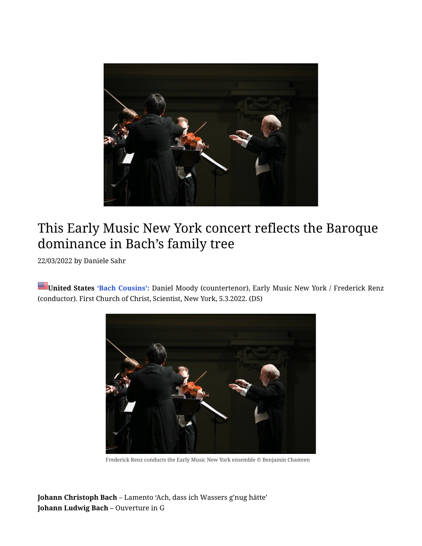

## This Early Music New York concert reflects the Baroque dominance in Bach's family tree

22/03/2022 by [Daniele Sahr](https://seenandheard-international.com/author/dsahr/)

**United States 'Bach Cousins':** Daniel Moody (countertenor), Early Music New York / Frederick Renz (conductor). First Church of Christ, Scientist, New York, 5.3.2022. (DS)



Frederick Renz conducts the Early Music New York ensemble © Benjamin Chasteen

**Johann Christoph Bach** – Lamento 'Ach, da[ss](https://seenandheard-international.com/2022/03/this-early-music-new-york-concert-reflects-the-baroque-dominance-in-bachs-family-tree/#) ich Wassers g'nug hätte' **Johann Ludwig Bach –** Ouverture in G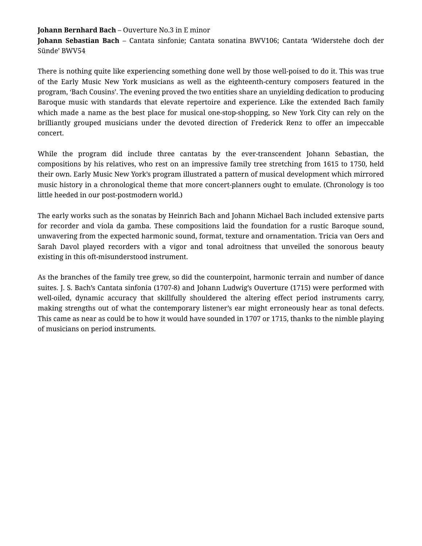## **Johann Bernhard Bach** – Ouverture No.3 in E minor

**Johann Sebastian Bach** – Cantata sinfonie; Cantata sonatina BWV106; Cantata 'Widerstehe doch der Sünde' BWV54

There is nothing quite like experiencing something done well by those well-poised to do it. This was true of the Early Music New York musicians as well as the eighteenth-century composers featured in the program, 'Bach Cousins'. The evening proved the two entities share an unyielding dedication to producing Baroque music with standards that elevate repertoire and experience. Like the extended Bach family which made a name as the best place for musical one-stop-shopping, so New York City can rely on the brilliantly grouped musicians under the devoted direction of Frederick Renz to offer an impeccable concert.

While the program did include three cantatas by the ever-transcendent Johann Sebastian, the compositions by his relatives, who rest on an impressive family tree stretching from 1615 to 1750, held their own. Early Music New York's program illustrated a pattern of musical development which mirrored music history in a chronological theme that more concert-planners ought to emulate. (Chronology is too little heeded in our post-postmodern world.)

The early works such as the sonatas by Heinrich Bach and Johann Michael Bach included extensive parts for recorder and viola da gamba. These compositions laid the foundation for a rustic Baroque sound, unwavering from the expected harmonic sound, format, texture and ornamentation. Tricia van Oers and Sarah Davol played recorders with a vigor and tonal adroitness that unveiled the sonorous beauty existing in this oft-misunderstood instrument.

As the branches of the family tree grew, so did the counterpoint, harmonic terrain and number of dance suites. J. S. Bach's Cantata sinfonia (1707-8) and Johann Ludwig's Ouverture (1715) were performed with well-oiled, dynamic accuracy that skillfully shouldered the altering effect period instruments carry, making strengths out of what the contemporary listener's ear might erroneously hear as tonal defects. This came as near as could be to how it would have sounded in 1707 or 1715, thanks to the nimble playing of musicians on period instruments.